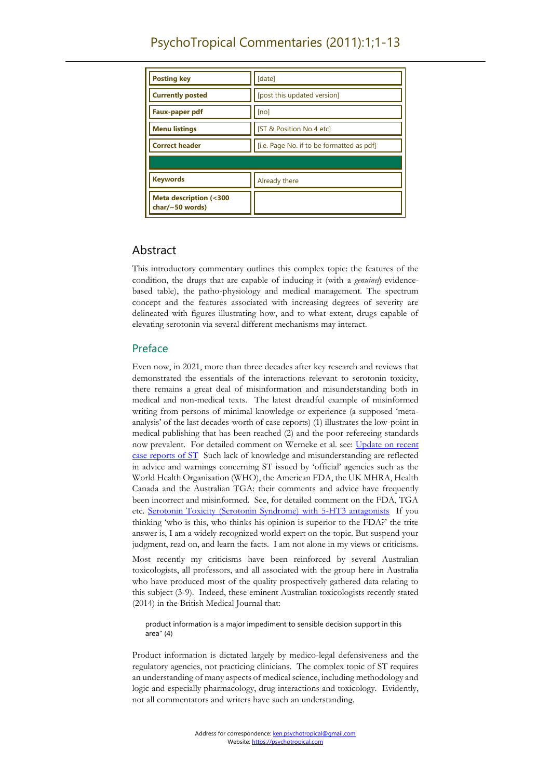| <b>Posting key</b>                                       | [date]                                    |
|----------------------------------------------------------|-------------------------------------------|
| <b>Currently posted</b>                                  | [post this updated version]               |
| Faux-paper pdf                                           | [no]                                      |
| <b>Menu listings</b>                                     | [ST & Position No 4 etc]                  |
| <b>Correct header</b>                                    | [i.e. Page No. if to be formatted as pdf] |
|                                                          |                                           |
| <b>Keywords</b>                                          | Already there                             |
| <b>Meta description (&lt;300</b><br>$char/\sim50$ words) |                                           |

# Abstract

This introductory commentary outlines this complex topic: the features of the condition, the drugs that are capable of inducing it (with a *genuinely* evidencebased table), the patho-physiology and medical management. The spectrum concept and the features associated with increasing degrees of severity are delineated with figures illustrating how, and to what extent, drugs capable of elevating serotonin via several different mechanisms may interact.

# Preface

Even now, in 2021, more than three decades after key research and reviews that demonstrated the essentials of the interactions relevant to serotonin toxicity, there remains a great deal of misinformation and misunderstanding both in medical and non-medical texts. The latest dreadful example of misinformed writing from persons of minimal knowledge or experience (a supposed 'metaanalysis' of the last decades-worth of case reports) (1) illustrates the low-point in medical publishing that has been reached (2) and the poor refereeing standards now prevalent. For detailed comment on Werneke et al. see: Update on recent [case reports of ST](https://psychotropical.com/st-case-reports-update/) Such lack of knowledge and misunderstanding are reflected in advice and warnings concerning ST issued by 'official' agencies such as the World Health Organisation (WHO), the American FDA, the UK MHRA, Health Canada and the Australian TGA: their comments and advice have frequently been incorrect and misinformed. See, for detailed comment on the FDA, TGA etc. [Serotonin Toxicity \(Serotonin Syndrome\) with 5-HT3 antagonists](https://psychotropical.com/serotonin-toxicity-and-5-ht3-antagonists/) If you thinking 'who is this, who thinks his opinion is superior to the FDA?' the trite answer is, I am a widely recognized world expert on the topic. But suspend your judgment, read on, and learn the facts. I am not alone in my views or criticisms.

Most recently my criticisms have been reinforced by several Australian toxicologists, all professors, and all associated with the group here in Australia who have produced most of the quality prospectively gathered data relating to this subject (3-9). Indeed, these eminent Australian toxicologists recently stated (2014) in the British Medical Journal that:

product information is a major impediment to sensible decision support in this area" (4)

Product information is dictated largely by medico-legal defensiveness and the regulatory agencies, not practicing clinicians. The complex topic of ST requires an understanding of many aspects of medical science, including methodology and logic and especially pharmacology, drug interactions and toxicology. Evidently, not all commentators and writers have such an understanding.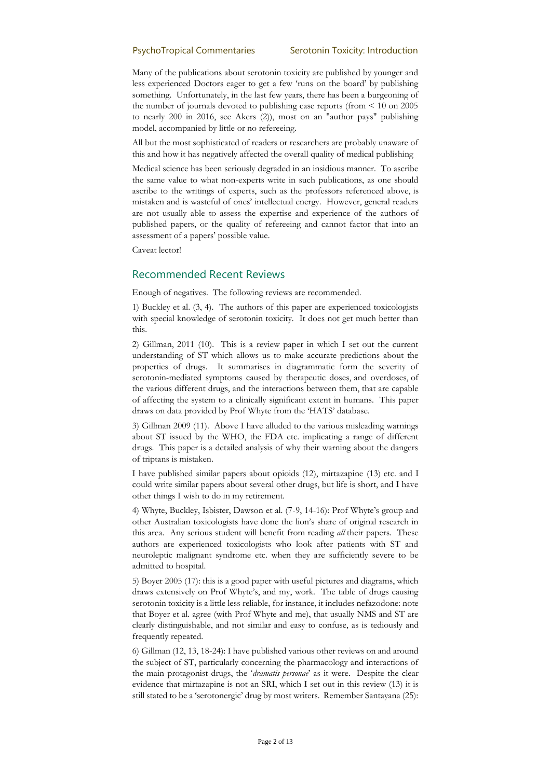Many of the publications about serotonin toxicity are published by younger and less experienced Doctors eager to get a few 'runs on the board' by publishing something. Unfortunately, in the last few years, there has been a burgeoning of the number of journals devoted to publishing case reports (from < 10 on 2005 to nearly 200 in 2016, see Akers (2)), most on an "author pays" publishing model, accompanied by little or no refereeing.

All but the most sophisticated of readers or researchers are probably unaware of this and how it has negatively affected the overall quality of medical publishing

Medical science has been seriously degraded in an insidious manner. To ascribe the same value to what non-experts write in such publications, as one should ascribe to the writings of experts, such as the professors referenced above, is mistaken and is wasteful of ones' intellectual energy. However, general readers are not usually able to assess the expertise and experience of the authors of published papers, or the quality of refereeing and cannot factor that into an assessment of a papers' possible value.

Caveat lector!

## Recommended Recent Reviews

Enough of negatives. The following reviews are recommended.

1) Buckley et al. (3, 4). The authors of this paper are experienced toxicologists with special knowledge of serotonin toxicity. It does not get much better than this.

2) Gillman, 2011 (10). This is a review paper in which I set out the current understanding of ST which allows us to make accurate predictions about the properties of drugs. It summarises in diagrammatic form the severity of serotonin-mediated symptoms caused by therapeutic doses, and overdoses, of the various different drugs, and the interactions between them, that are capable of affecting the system to a clinically significant extent in humans. This paper draws on data provided by Prof Whyte from the 'HATS' database.

3) Gillman 2009 (11). Above I have alluded to the various misleading warnings about ST issued by the WHO, the FDA etc. implicating a range of different drugs. This paper is a detailed analysis of why their warning about the dangers of triptans is mistaken.

I have published similar papers about opioids (12), mirtazapine (13) etc. and I could write similar papers about several other drugs, but life is short, and I have other things I wish to do in my retirement.

4) Whyte, Buckley, Isbister, Dawson et al. (7-9, 14-16): Prof Whyte's group and other Australian toxicologists have done the lion's share of original research in this area. Any serious student will benefit from reading *all* their papers. These authors are experienced toxicologists who look after patients with ST and neuroleptic malignant syndrome etc. when they are sufficiently severe to be admitted to hospital.

5) Boyer 2005 (17): this is a good paper with useful pictures and diagrams, which draws extensively on Prof Whyte's, and my, work. The table of drugs causing serotonin toxicity is a little less reliable, for instance, it includes nefazodone: note that Boyer et al. agree (with Prof Whyte and me), that usually NMS and ST are clearly distinguishable, and not similar and easy to confuse, as is tediously and frequently repeated.

6) Gillman (12, 13, 18-24): I have published various other reviews on and around the subject of ST, particularly concerning the pharmacology and interactions of the main protagonist drugs, the '*dramatis personae*' as it were. Despite the clear evidence that mirtazapine is not an SRI, which I set out in this review (13) it is still stated to be a 'serotonergic' drug by most writers. Remember Santayana (25):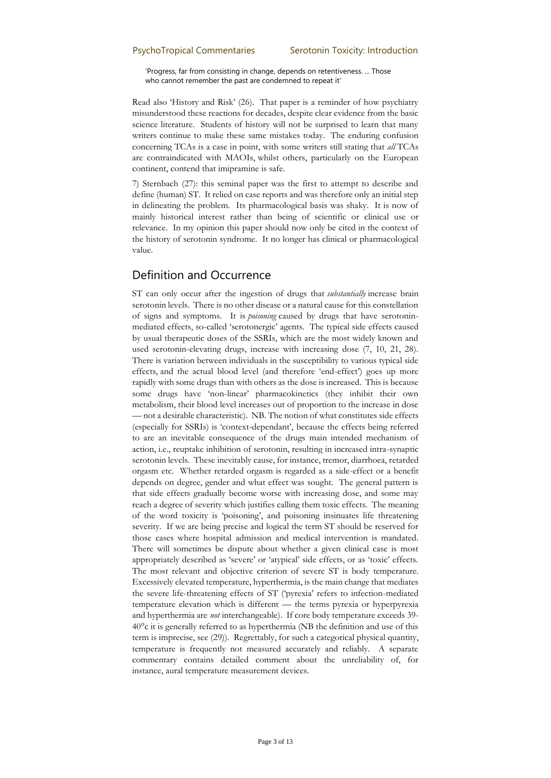'Progress, far from consisting in change, depends on retentiveness. ... Those who cannot remember the past are condemned to repeat it'

Read also 'History and Risk' (26). That paper is a reminder of how psychiatry misunderstood these reactions for decades, despite clear evidence from the basic science literature. Students of history will not be surprised to learn that many writers continue to make these same mistakes today. The enduring confusion concerning TCAs is a case in point, with some writers still stating that *all* TCAs are contraindicated with MAOIs, whilst others, particularly on the European continent, contend that imipramine is safe.

7) Sternbach (27): this seminal paper was the first to attempt to describe and define (human) ST. It relied on case reports and was therefore only an initial step in delineating the problem. Its pharmacological basis was shaky. It is now of mainly historical interest rather than being of scientific or clinical use or relevance. In my opinion this paper should now only be cited in the context of the history of serotonin syndrome. It no longer has clinical or pharmacological value.

## Definition and Occurrence

ST can only occur after the ingestion of drugs that *substantially* increase brain serotonin levels. There is no other disease or a natural cause for this constellation of signs and symptoms. It is *poisoning* caused by drugs that have serotoninmediated effects, so-called 'serotonergic' agents. The typical side effects caused by usual therapeutic doses of the SSRIs, which are the most widely known and used serotonin-elevating drugs, increase with increasing dose  $(7, 10, 21, 28)$ . There is variation between individuals in the susceptibility to various typical side effects, and the actual blood level (and therefore 'end-effect') goes up more rapidly with some drugs than with others as the dose is increased. This is because some drugs have 'non-linear' pharmacokinetics (they inhibit their own metabolism, their blood level increases out of proportion to the increase in dose — not a desirable characteristic). NB. The notion of what constitutes side effects (especially for SSRIs) is 'context-dependant', because the effects being referred to are an inevitable consequence of the drugs main intended mechanism of action, i.e., reuptake inhibition of serotonin, resulting in increased intra-synaptic serotonin levels. These inevitably cause, for instance, tremor, diarrhoea, retarded orgasm etc. Whether retarded orgasm is regarded as a side-effect or a benefit depends on degree, gender and what effect was sought. The general pattern is that side effects gradually become worse with increasing dose, and some may reach a degree of severity which justifies calling them toxic effects. The meaning of the word toxicity is 'poisoning', and poisoning insinuates life threatening severity. If we are being precise and logical the term ST should be reserved for those cases where hospital admission and medical intervention is mandated. There will sometimes be dispute about whether a given clinical case is most appropriately described as 'severe' or 'atypical' side effects, or as 'toxic' effects. The most relevant and objective criterion of severe ST is body temperature. Excessively elevated temperature, hyperthermia, is the main change that mediates the severe life-threatening effects of ST ('pyrexia' refers to infection-mediated temperature elevation which is different — the terms pyrexia or hyperpyrexia and hyperthermia are *not* interchangeable). If core body temperature exceeds 39- 40°c it is generally referred to as hyperthermia (NB the definition and use of this term is imprecise, see (29)). Regrettably, for such a categorical physical quantity, temperature is frequently not measured accurately and reliably. A separate commentary contains detailed comment about the unreliability of, for instance, aural temperature measurement devices.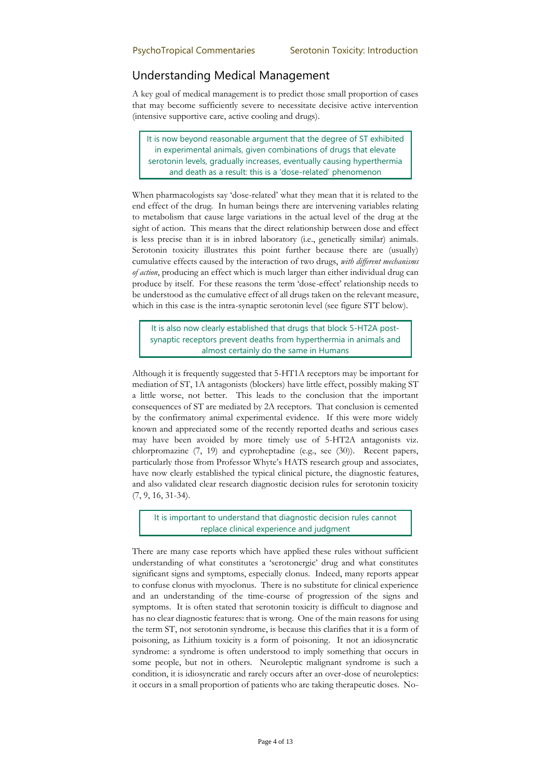# Understanding Medical Management

A key goal of medical management is to predict those small proportion of cases that may become sufficiently severe to necessitate decisive active intervention (intensive supportive care, active cooling and drugs).

It is now beyond reasonable argument that the degree of ST exhibited in experimental animals, given combinations of drugs that elevate serotonin levels, gradually increases, eventually causing hyperthermia and death as a result: this is a 'dose-related' phenomenon

When pharmacologists say 'dose-related' what they mean that it is related to the end effect of the drug. In human beings there are intervening variables relating to metabolism that cause large variations in the actual level of the drug at the sight of action. This means that the direct relationship between dose and effect is less precise than it is in inbred laboratory (i.e., genetically similar) animals. Serotonin toxicity illustrates this point further because there are (usually) cumulative effects caused by the interaction of two drugs, *with different mechanisms of action*, producing an effect which is much larger than either individual drug can produce by itself. For these reasons the term 'dose-effect' relationship needs to be understood as the cumulative effect of all drugs taken on the relevant measure, which in this case is the intra-synaptic serotonin level (see figure STT below).

It is also now clearly established that drugs that block 5-HT2A postsynaptic receptors prevent deaths from hyperthermia in animals and almost certainly do the same in Humans

Although it is frequently suggested that 5-HT1A receptors may be important for mediation of ST, 1A antagonists (blockers) have little effect, possibly making ST a little worse, not better. This leads to the conclusion that the important consequences of ST are mediated by 2A receptors. That conclusion is cemented by the confirmatory animal experimental evidence. If this were more widely known and appreciated some of the recently reported deaths and serious cases may have been avoided by more timely use of 5-HT2A antagonists viz. chlorpromazine (7, 19) and cyproheptadine (e.g., see (30)). Recent papers, particularly those from Professor Whyte's HATS research group and associates, have now clearly established the typical clinical picture, the diagnostic features, and also validated clear research diagnostic decision rules for serotonin toxicity (7, 9, 16, 31-34).

It is important to understand that diagnostic decision rules cannot replace clinical experience and judgment

There are many case reports which have applied these rules without sufficient understanding of what constitutes a 'serotonergic' drug and what constitutes significant signs and symptoms, especially clonus. Indeed, many reports appear to confuse clonus with myoclonus. There is no substitute for clinical experience and an understanding of the time-course of progression of the signs and symptoms. It is often stated that serotonin toxicity is difficult to diagnose and has no clear diagnostic features: that is wrong. One of the main reasons for using the term ST, not serotonin syndrome, is because this clarifies that it is a form of poisoning, as Lithium toxicity is a form of poisoning. It not an idiosyncratic syndrome: a syndrome is often understood to imply something that occurs in some people, but not in others. Neuroleptic malignant syndrome is such a condition, it is idiosyncratic and rarely occurs after an over-dose of neuroleptics: it occurs in a small proportion of patients who are taking therapeutic doses. No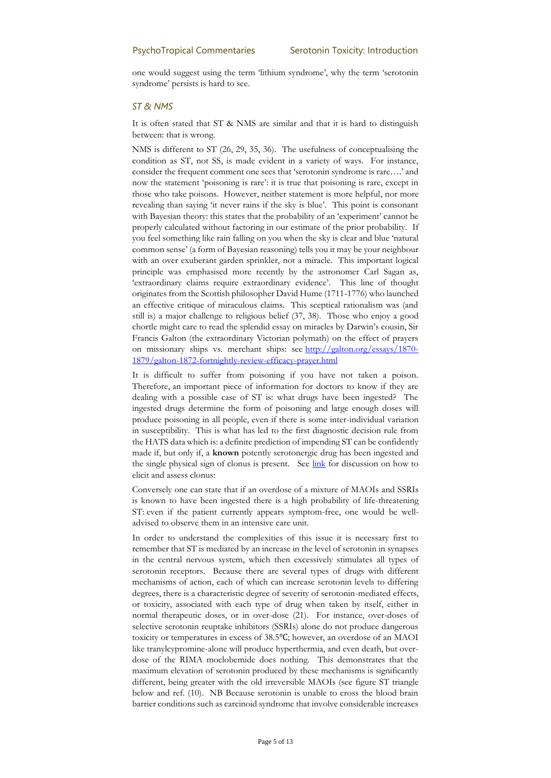one would suggest using the term 'lithium syndrome', why the term 'serotonin syndrome' persists is hard to see.

### *ST & NMS*

It is often stated that ST & NMS are similar and that it is hard to distinguish between: that is wrong.

NMS is different to ST (26, 29, 35, 36). The usefulness of conceptualising the condition as ST, not SS, is made evident in a variety of ways. For instance, consider the frequent comment one sees that 'serotonin syndrome is rare….' and now the statement 'poisoning is rare': it is true that poisoning is rare, except in those who take poisons. However, neither statement is more helpful, nor more revealing than saying 'it never rains if the sky is blue'. This point is consonant with Bayesian theory: this states that the probability of an 'experiment' cannot be properly calculated without factoring in our estimate of the prior probability. If you feel something like rain falling on you when the sky is clear and blue 'natural common sense' (a form of Bayesian reasoning) tells you it may be your neighbour with an over exuberant garden sprinkler, not a miracle. This important logical principle was emphasised more recently by the astronomer Carl Sagan as, 'extraordinary claims require extraordinary evidence'. This line of thought originates from the Scottish philosopher David Hume (1711-1776) who launched an effective critique of miraculous claims. This sceptical rationalism was (and still is) a major challenge to religious belief (37, 38). Those who enjoy a good chortle might care to read the splendid essay on miracles by Darwin's cousin, Sir Francis Galton (the extraordinary Victorian polymath) on the effect of prayers on missionary ships vs. merchant ships: see [http://galton.org/essays/1870-](http://galton.org/essays/1870-1879/galton-1872-fortnightly-review-efficacy-prayer.html) [1879/galton-1872-fortnightly-review-efficacy-prayer.html](http://galton.org/essays/1870-1879/galton-1872-fortnightly-review-efficacy-prayer.html) 

It is difficult to suffer from poisoning if you have not taken a poison. Therefore, an important piece of information for doctors to know if they are dealing with a possible case of ST is: what drugs have been ingested? The ingested drugs determine the form of poisoning and large enough doses will produce poisoning in all people, even if there is some inter-individual variation in susceptibility. This is what has led to the first diagnostic decision rule from the HATS data which is: a definite prediction of impending ST can be confidently made if, but only if, a **known** potently serotonergic drug has been ingested and the single physical sign of clonus is present. See [link](http://curriculum.toxicology.wikispaces.net/serotonin_video) for discussion on how to elicit and assess clonus:

Conversely one can state that if an overdose of a mixture of MAOIs and SSRIs is known to have been ingested there is a high probability of life-threatening ST: even if the patient currently appears symptom-free, one would be welladvised to observe them in an intensive care unit.

In order to understand the complexities of this issue it is necessary first to remember that ST is mediated by an increase in the level of serotonin in synapses in the central nervous system, which then excessively stimulates all types of serotonin receptors. Because there are several types of drugs with different mechanisms of action, each of which can increase serotonin levels to differing degrees, there is a characteristic degree of severity of serotonin-mediated effects, or toxicity, associated with each type of drug when taken by itself, either in normal therapeutic doses, or in over-dose (21). For instance, over-doses of selective serotonin reuptake inhibitors (SSRIs) alone do not produce dangerous toxicity or temperatures in excess of 38.5℃; however, an overdose of an MAOI like tranylcypromine-alone will produce hyperthermia, and even death, but overdose of the RIMA moclobemide does nothing. This demonstrates that the maximum elevation of serotonin produced by these mechanisms is significantly different, being greater with the old irreversible MAOIs (see figure ST triangle below and ref. (10). NB Because serotonin is unable to cross the blood brain barrier conditions such as carcinoid syndrome that involve considerable increases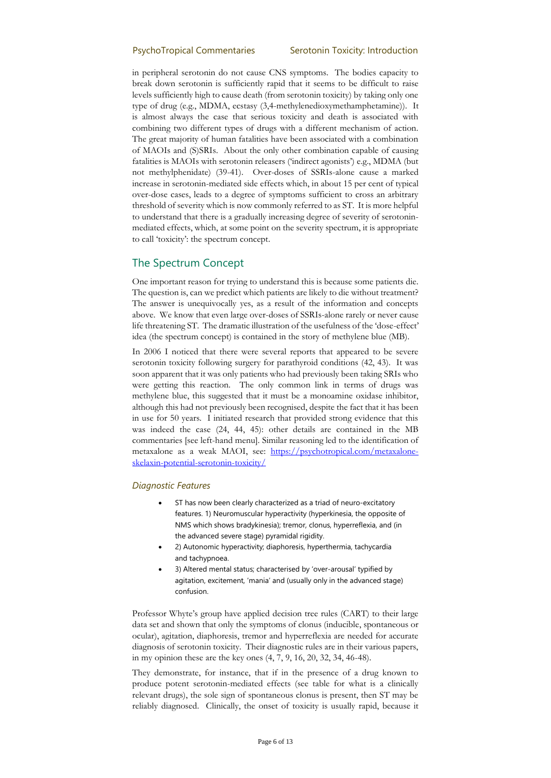in peripheral serotonin do not cause CNS symptoms. The bodies capacity to break down serotonin is sufficiently rapid that it seems to be difficult to raise levels sufficiently high to cause death (from serotonin toxicity) by taking only one type of drug (e.g., MDMA, ecstasy (3,4-methylenedioxymethamphetamine)). It is almost always the case that serious toxicity and death is associated with combining two different types of drugs with a different mechanism of action. The great majority of human fatalities have been associated with a combination of MAOIs and (S)SRIs. About the only other combination capable of causing fatalities is MAOIs with serotonin releasers ('indirect agonists') e.g., MDMA (but not methylphenidate) (39-41). Over-doses of SSRIs-alone cause a marked increase in serotonin-mediated side effects which, in about 15 per cent of typical over-dose cases, leads to a degree of symptoms sufficient to cross an arbitrary threshold of severity which is now commonly referred to as ST. It is more helpful to understand that there is a gradually increasing degree of severity of serotoninmediated effects, which, at some point on the severity spectrum, it is appropriate to call 'toxicity': the spectrum concept.

## The Spectrum Concept

One important reason for trying to understand this is because some patients die. The question is, can we predict which patients are likely to die without treatment? The answer is unequivocally yes, as a result of the information and concepts above. We know that even large over-doses of SSRIs-alone rarely or never cause life threatening ST. The dramatic illustration of the usefulness of the 'dose-effect' idea (the spectrum concept) is contained in the story of methylene blue (MB).

In 2006 I noticed that there were several reports that appeared to be severe serotonin toxicity following surgery for parathyroid conditions (42, 43). It was soon apparent that it was only patients who had previously been taking SRIs who were getting this reaction. The only common link in terms of drugs was methylene blue, this suggested that it must be a monoamine oxidase inhibitor, although this had not previously been recognised, despite the fact that it has been in use for 50 years. I initiated research that provided strong evidence that this was indeed the case (24, 44, 45): other details are contained in the MB commentaries [see left-hand menu]. Similar reasoning led to the identification of metaxalone as a weak MAOI, see: [https://psychotropical.com/metaxalone](https://psychotropical.com/metaxalone-skelaxin-potential-serotonin-toxicity/)[skelaxin-potential-serotonin-toxicity/](https://psychotropical.com/metaxalone-skelaxin-potential-serotonin-toxicity/)

#### *Diagnostic Features*

- ST has now been clearly characterized as a triad of neuro-excitatory features. 1) Neuromuscular hyperactivity (hyperkinesia, the opposite of NMS which shows bradykinesia); tremor, clonus, hyperreflexia, and (in the advanced severe stage) pyramidal rigidity.
- 2) Autonomic hyperactivity; diaphoresis, hyperthermia, tachycardia and tachypnoea.
- 3) Altered mental status; characterised by 'over-arousal' typified by agitation, excitement, 'mania' and (usually only in the advanced stage) confusion.

Professor Whyte's group have applied decision tree rules (CART) to their large data set and shown that only the symptoms of clonus (inducible, spontaneous or ocular), agitation, diaphoresis, tremor and hyperreflexia are needed for accurate diagnosis of serotonin toxicity. Their diagnostic rules are in their various papers, in my opinion these are the key ones (4, 7, 9, 16, 20, 32, 34, 46-48).

They demonstrate, for instance, that if in the presence of a drug known to produce potent serotonin-mediated effects (see table for what is a clinically relevant drugs), the sole sign of spontaneous clonus is present, then ST may be reliably diagnosed. Clinically, the onset of toxicity is usually rapid, because it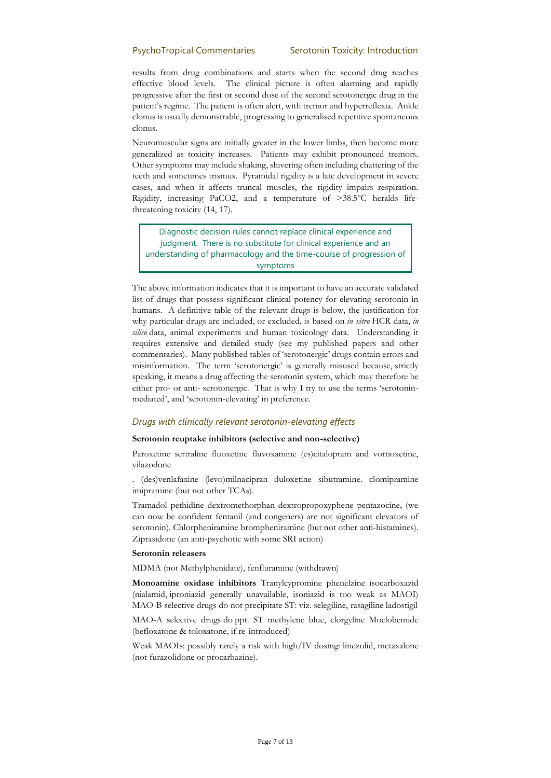results from drug combinations and starts when the second drug reaches effective blood levels. The clinical picture is often alarming and rapidly progressive after the first or second dose of the second serotonergic drug in the patient's regime. The patient is often alert, with tremor and hyperreflexia. Ankle clonus is usually demonstrable, progressing to generalised repetitive spontaneous clonus.

Neuromuscular signs are initially greater in the lower limbs, then become more generalized as toxicity increases. Patients may exhibit pronounced tremors. Other symptoms may include shaking, shivering often including chattering of the teeth and sometimes trismus. Pyramidal rigidity is a late development in severe cases, and when it affects truncal muscles, the rigidity impairs respiration. Rigidity, increasing PaCO2, and a temperature of >38.5ºC heralds lifethreatening toxicity (14, 17).

Diagnostic decision rules cannot replace clinical experience and judgment. There is no substitute for clinical experience and an understanding of pharmacology and the time-course of progression of symptoms

The above information indicates that it is important to have an accurate validated list of drugs that possess significant clinical potency for elevating serotonin in humans. A definitive table of the relevant drugs is below, the justification for why particular drugs are included, or excluded, is based on *in vitro* HCR data, *in silico* data, animal experiments and human toxicology data. Understanding it requires extensive and detailed study (see my published papers and other commentaries). Many published tables of 'serotonergic' drugs contain errors and misinformation. The term 'serotonergic' is generally misused because, strictly speaking, it means a drug affecting the serotonin system, which may therefore be either pro- or anti- serotonergic. That is why I try to use the terms 'serotoninmediated', and 'serotonin-elevating' in preference.

### *Drugs with clinically relevant serotonin-elevating effects*

### **Serotonin reuptake inhibitors (selective and non-selective)**

Paroxetine sertraline fluoxetine fluvoxamine (es)citalopram and vortioxetine, vilazodone

. (des)venlafaxine (levo)milnacipran duloxetine sibutramine. clomipramine imipramine (but not other TCAs).

Tramadol pethidine dextromethorphan dextropropoxyphene pentazocine, (we can now be confident fentanil (and congeners) are not significant elevators of serotonin). Chlorpheniramine brompheniramine (but not other anti-histamines). Ziprasidone (an anti-psychotic with some SRI action)

### **Serotonin releasers**

MDMA (not Methylphenidate), fenfluramine (withdrawn)

**Monoamine oxidase inhibitors** Tranylcypromine phenelzine isocarboxazid (nialamid, iproniazid generally unavailable, isoniazid is too weak as MAOI) MAO-B selective drugs do not precipitate ST: viz. selegiline, rasagiline ladostigil

MAO-A selective drugs do ppt. ST methylene blue, clorgyline Moclobemide (befloxatone & toloxatone, if re-introduced)

Weak MAOIs: possibly rarely a risk with high/IV dosing: linezolid, metaxalone (not furazolidone or procarbazine).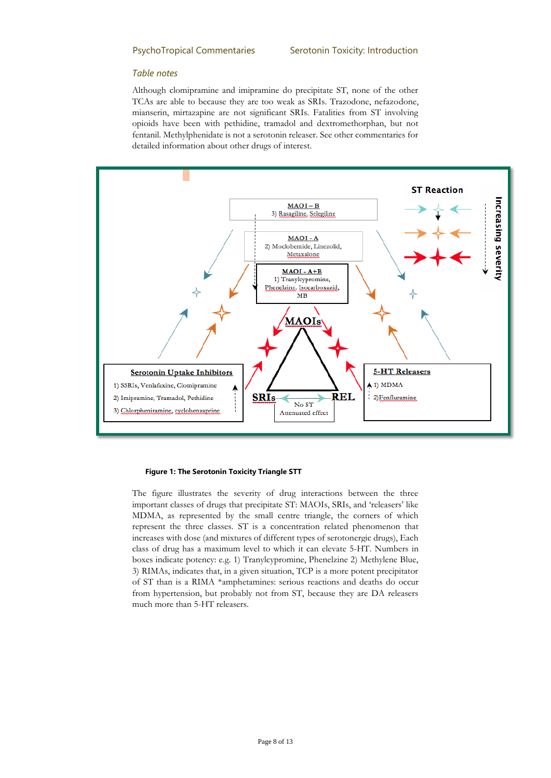### PsychoTropical Commentaries Serotonin Toxicity: Introduction

### *Table notes*

Although clomipramine and imipramine do precipitate ST, none of the other TCAs are able to because they are too weak as SRIs. Trazodone, nefazodone, mianserin, mirtazapine are not significant SRIs. Fatalities from ST involving opioids have been with pethidine, tramadol and dextromethorphan, but not fentanil. Methylphenidate is not a serotonin releaser. See other commentaries for detailed information about other drugs of interest.



#### **Figure 1: The Serotonin Toxicity Triangle STT**

The figure illustrates the severity of drug interactions between the three important classes of drugs that precipitate ST: MAOIs, SRIs, and 'releasers' like MDMA, as represented by the small centre triangle, the corners of which represent the three classes. ST is a concentration related phenomenon that increases with dose (and mixtures of different types of serotonergic drugs), Each class of drug has a maximum level to which it can elevate 5-HT. Numbers in boxes indicate potency: e.g. 1) Tranylcypromine, Phenelzine 2) Methylene Blue, 3) RIMAs, indicates that, in a given situation, TCP is a more potent precipitator of ST than is a RIMA \*amphetamines: serious reactions and deaths do occur from hypertension, but probably not from ST, because they are DA releasers much more than 5-HT releasers.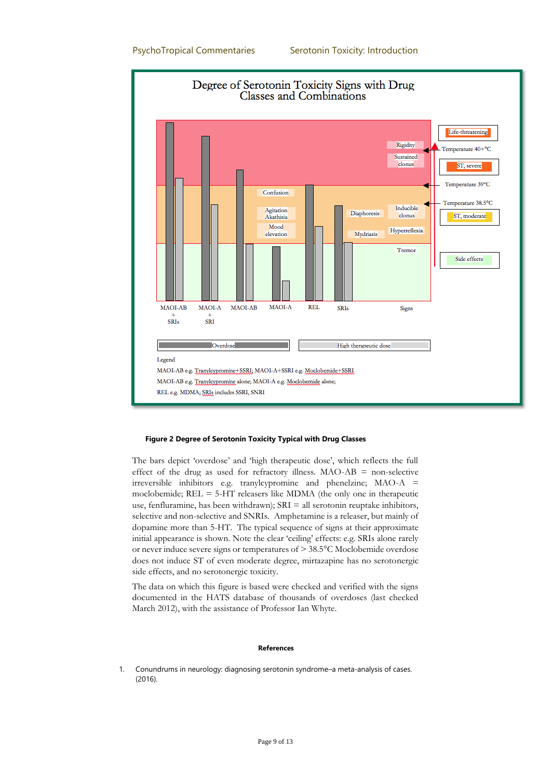

### **Figure 2 Degree of Serotonin Toxicity Typical with Drug Classes**

The bars depict 'overdose' and 'high therapeutic dose', which reflects the full effect of the drug as used for refractory illness.  $MAO-AB =$  non-selective irreversible inhibitors e.g. tranylcypromine and phenelzine; MAO-A = moclobemide; REL = 5-HT releasers like MDMA (the only one in therapeutic use, fenfluramine, has been withdrawn);  $SRI = all$  serotonin reuptake inhibitors, selective and non-selective and SNRIs. Amphetamine is a releaser, but mainly of dopamine more than 5-HT. The typical sequence of signs at their approximate initial appearance is shown. Note the clear 'ceiling' effects: e.g. SRIs alone rarely or never induce severe signs or temperatures of > 38.5°C Moclobemide overdose does not induce ST of even moderate degree, mirtazapine has no serotonergic side effects, and no serotonergic toxicity.

The data on which this figure is based were checked and verified with the signs documented in the HATS database of thousands of overdoses (last checked March 2012), with the assistance of Professor Ian Whyte.

#### **References**

1. Conundrums in neurology: diagnosing serotonin syndrome–a meta-analysis of cases. (2016).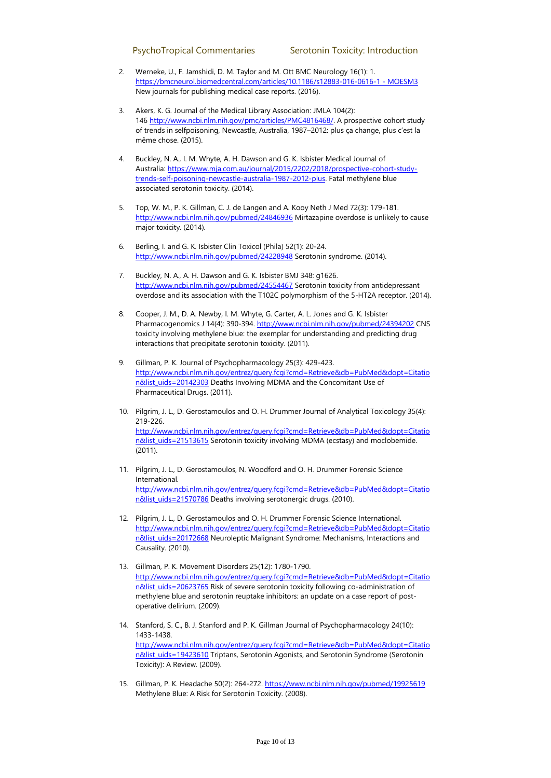- 2. Werneke, U., F. Jamshidi, D. M. Taylor and M. Ott BMC Neurology 16(1): 1. [https://bmcneurol.biomedcentral.com/articles/10.1186/s12883-016-0616-1 -](https://bmcneurol.biomedcentral.com/articles/10.1186/s12883-016-0616-1#MOESM3) MOESM3 New journals for publishing medical case reports. (2016).
- 3. Akers, K. G. Journal of the Medical Library Association: JMLA 104(2): 146 [http://www.ncbi.nlm.nih.gov/pmc/articles/PMC4816468/.](http://www.ncbi.nlm.nih.gov/pmc/articles/PMC4816468/) A prospective cohort study of trends in selfpoisoning, Newcastle, Australia, 1987–2012: plus ça change, plus c'est la même chose. (2015).
- 4. Buckley, N. A., I. M. Whyte, A. H. Dawson and G. K. Isbister Medical Journal of Australia: [https://www.mja.com.au/journal/2015/2202/2018/prospective-cohort-study](https://www.mja.com.au/journal/2015/2202/2018/)[trends-self-poisoning-newcastle-australia-1987-2012-plus.](https://www.mja.com.au/journal/2015/2202/2018/) Fatal methylene blue associated serotonin toxicity. (2014).
- 5. Top, W. M., P. K. Gillman, C. J. de Langen and A. Kooy Neth J Med 72(3): 179-181. <http://www.ncbi.nlm.nih.gov/pubmed/24846936> Mirtazapine overdose is unlikely to cause major toxicity. (2014).
- 6. Berling, I. and G. K. Isbister Clin Toxicol (Phila) 52(1): 20-24. <http://www.ncbi.nlm.nih.gov/pubmed/24228948> Serotonin syndrome. (2014).
- 7. Buckley, N. A., A. H. Dawson and G. K. Isbister BMJ 348: g1626. <http://www.ncbi.nlm.nih.gov/pubmed/24554467> Serotonin toxicity from antidepressant overdose and its association with the T102C polymorphism of the 5-HT2A receptor. (2014).
- 8. Cooper, J. M., D. A. Newby, I. M. Whyte, G. Carter, A. L. Jones and G. K. Isbister Pharmacogenomics J 14(4): 390-394[. http://www.ncbi.nlm.nih.gov/pubmed/24394202](http://www.ncbi.nlm.nih.gov/pubmed/24394202) CNS toxicity involving methylene blue: the exemplar for understanding and predicting drug interactions that precipitate serotonin toxicity. (2011).
- 9. Gillman, P. K. Journal of Psychopharmacology 25(3): 429-423. [http://www.ncbi.nlm.nih.gov/entrez/query.fcgi?cmd=Retrieve&db=PubMed&dopt=Citatio](http://www.ncbi.nlm.nih.gov/entrez/query.fcgi?cmd=Retriev) [n&list\\_uids=20142303](http://www.ncbi.nlm.nih.gov/entrez/query.fcgi?cmd=Retriev) Deaths Involving MDMA and the Concomitant Use of Pharmaceutical Drugs. (2011).
- 10. Pilgrim, J. L., D. Gerostamoulos and O. H. Drummer Journal of Analytical Toxicology 35(4): 219-226. [http://www.ncbi.nlm.nih.gov/entrez/query.fcgi?cmd=Retrieve&db=PubMed&dopt=Citatio](http://www.ncbi.nlm.nih.gov/entrez/query.fcgi?cmd=Retrieve&db=PubMed&dopt=Citation&list_uids=21513615) [n&list\\_uids=21513615](http://www.ncbi.nlm.nih.gov/entrez/query.fcgi?cmd=Retrieve&db=PubMed&dopt=Citation&list_uids=21513615) Serotonin toxicity involving MDMA (ecstasy) and moclobemide. (2011).
- 11. Pilgrim, J. L., D. Gerostamoulos, N. Woodford and O. H. Drummer Forensic Science International. [http://www.ncbi.nlm.nih.gov/entrez/query.fcgi?cmd=Retrieve&db=PubMed&dopt=Citatio](http://www.ncbi.nlm.nih.gov/entrez/query.fcgi?cmd=Retrieve&db=PubMed&dopt=Citation&list_uids=21570786) [n&list\\_uids=21570786](http://www.ncbi.nlm.nih.gov/entrez/query.fcgi?cmd=Retrieve&db=PubMed&dopt=Citation&list_uids=21570786) Deaths involving serotonergic drugs. (2010).
- 12. Pilgrim, J. L., D. Gerostamoulos and O. H. Drummer Forensic Science International. [http://www.ncbi.nlm.nih.gov/entrez/query.fcgi?cmd=Retrieve&db=PubMed&dopt=Citatio](http://www.ncbi.nlm.nih.gov/entrez/query.fcgi?cmd=Retrieve&db=PubMed&dopt=Citation&list_uids=20172668) [n&list\\_uids=20172668](http://www.ncbi.nlm.nih.gov/entrez/query.fcgi?cmd=Retrieve&db=PubMed&dopt=Citation&list_uids=20172668) Neuroleptic Malignant Syndrome: Mechanisms, Interactions and Causality. (2010).
- 13. Gillman, P. K. Movement Disorders 25(12): 1780-1790. [http://www.ncbi.nlm.nih.gov/entrez/query.fcgi?cmd=Retrieve&db=PubMed&dopt=Citatio](http://www.ncbi.nlm.nih.gov/entrez/query.fcgi?cmd=Retrieve&db=PubMed&dopt=Citation&list_uids=206) [n&list\\_uids=20623765](http://www.ncbi.nlm.nih.gov/entrez/query.fcgi?cmd=Retrieve&db=PubMed&dopt=Citation&list_uids=206) Risk of severe serotonin toxicity following co-administration of methylene blue and serotonin reuptake inhibitors: an update on a case report of postoperative delirium. (2009).
- 14. Stanford, S. C., B. J. Stanford and P. K. Gillman Journal of Psychopharmacology 24(10): 1433-1438. [http://www.ncbi.nlm.nih.gov/entrez/query.fcgi?cmd=Retrieve&db=PubMed&dopt=Citatio](http://www.ncbi.nlm.nih.gov/entrez/query.fcgi?cmd=Retrieve&db=PubMed&dopt=Citation&list_uids=19423610) [n&list\\_uids=19423610](http://www.ncbi.nlm.nih.gov/entrez/query.fcgi?cmd=Retrieve&db=PubMed&dopt=Citation&list_uids=19423610) Triptans, Serotonin Agonists, and Serotonin Syndrome (Serotonin Toxicity): A Review. (2009).
- 15. Gillman, P. K. Headache 50(2): 264-272[. https://www.ncbi.nlm.nih.gov/pubmed/19925619](https://www.ncbi.nlm.nih.gov/pubmed/19925619) Methylene Blue: A Risk for Serotonin Toxicity. (2008).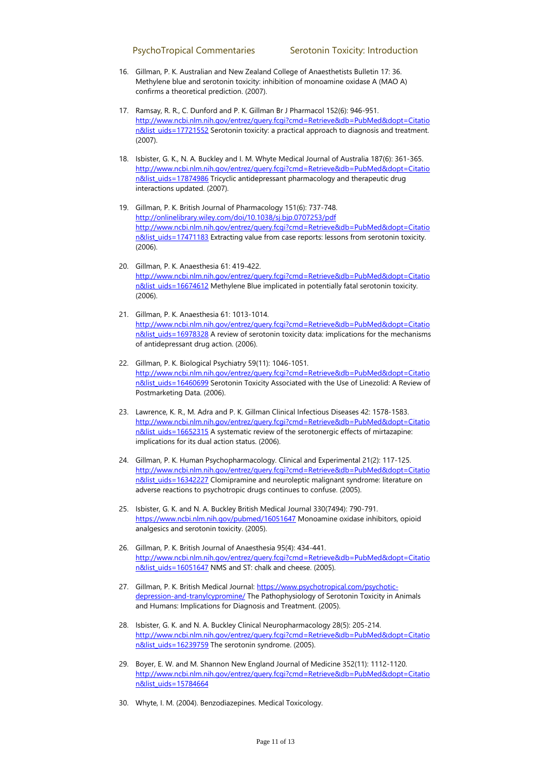- 16. Gillman, P. K. Australian and New Zealand College of Anaesthetists Bulletin 17: 36. Methylene blue and serotonin toxicity: inhibition of monoamine oxidase A (MAO A) confirms a theoretical prediction. (2007).
- 17. Ramsay, R. R., C. Dunford and P. K. Gillman Br J Pharmacol 152(6): 946-951. [http://www.ncbi.nlm.nih.gov/entrez/query.fcgi?cmd=Retrieve&db=PubMed&dopt=Citatio](http://www.ncbi.nlm.nih.gov/entrez/query.fcgi?cmd=Retrieve&db=PubMed&dopt=Citation&list_uids=17721552) [n&list\\_uids=17721552](http://www.ncbi.nlm.nih.gov/entrez/query.fcgi?cmd=Retrieve&db=PubMed&dopt=Citation&list_uids=17721552) Serotonin toxicity: a practical approach to diagnosis and treatment. (2007).
- 18. Isbister, G. K., N. A. Buckley and I. M. Whyte Medical Journal of Australia 187(6): 361-365. [http://www.ncbi.nlm.nih.gov/entrez/query.fcgi?cmd=Retrieve&db=PubMed&dopt=Citatio](http://www.ncbi.nlm.nih.gov/entrez/query.fcgi?cmd=Retrieve&db=PubMed&dopt=) [n&list\\_uids=17874986](http://www.ncbi.nlm.nih.gov/entrez/query.fcgi?cmd=Retrieve&db=PubMed&dopt=) Tricyclic antidepressant pharmacology and therapeutic drug interactions updated. (2007).
- 19. Gillman, P. K. British Journal of Pharmacology 151(6): 737-748. <http://onlinelibrary.wiley.com/doi/10.1038/sj.bjp.0707253/pdf> [http://www.ncbi.nlm.nih.gov/entrez/query.fcgi?cmd=Retrieve&db=PubMed&dopt=Citatio](http://www.ncbi.nlm.nih.gov/entrez/query.fcgi?cmd=Retrieve&db=PubMed) [n&list\\_uids=17471183](http://www.ncbi.nlm.nih.gov/entrez/query.fcgi?cmd=Retrieve&db=PubMed) Extracting value from case reports: lessons from serotonin toxicity. (2006).
- 20. Gillman, P. K. Anaesthesia 61: 419-422. [http://www.ncbi.nlm.nih.gov/entrez/query.fcgi?cmd=Retrieve&db=PubMed&dopt=Citatio](http://www.ncbi.nlm.nih.gov/entrez/query.fcgi?cmd=Retrieve&db=PubMed&dopt=Citation&list_uids=16674612) n&list uids=16674612 Methylene Blue implicated in potentially fatal serotonin toxicity. (2006).
- 21. Gillman, P. K. Anaesthesia 61: 1013-1014. [http://www.ncbi.nlm.nih.gov/entrez/query.fcgi?cmd=Retrieve&db=PubMed&dopt=Citatio](http://www.ncbi.nlm.nih.gov/entrez/query.fcgi?cmd=Retrieve&db=PubMed&dopt=Citation&list_uids=16978328) [n&list\\_uids=16978328](http://www.ncbi.nlm.nih.gov/entrez/query.fcgi?cmd=Retrieve&db=PubMed&dopt=Citation&list_uids=16978328) A review of serotonin toxicity data: implications for the mechanisms of antidepressant drug action. (2006).
- 22. Gillman, P. K. Biological Psychiatry 59(11): 1046-1051. [http://www.ncbi.nlm.nih.gov/entrez/query.fcgi?cmd=Retrieve&db=PubMed&dopt=Citatio](http://www.ncbi.nlm.nih.gov/entrez/query.fcgi?cmd=Retrieve&db=PubMed&dopt=Citation&list_uids=21570786) [n&list\\_uids=16460699](http://www.ncbi.nlm.nih.gov/entrez/query.fcgi?cmd=Retrieve&db=PubMed&dopt=Citation&list_uids=21570786) Serotonin Toxicity Associated with the Use of Linezolid: A Review of Postmarketing Data. (2006).
- 23. Lawrence, K. R., M. Adra and P. K. Gillman Clinical Infectious Diseases 42: 1578-1583. [http://www.ncbi.nlm.nih.gov/entrez/query.fcgi?cmd=Retrieve&db=PubMed&dopt=Citatio](http://www.ncbi.nlm.nih.gov/entrez/query.fcgi?cmd=Retrieve&db=PubMed&dopt=Citation&list_uids=16652315) [n&list\\_uids=16652315](http://www.ncbi.nlm.nih.gov/entrez/query.fcgi?cmd=Retrieve&db=PubMed&dopt=Citation&list_uids=16652315) A systematic review of the serotonergic effects of mirtazapine: implications for its dual action status. (2006).
- 24. Gillman, P. K. Human Psychopharmacology. Clinical and Experimental 21(2): 117-125. [http://www.ncbi.nlm.nih.gov/entrez/query.fcgi?cmd=Retrieve&db=PubMed&dopt=Citatio](http://www.ncbi.nlm.nih.gov/entrez/query.fcgi?cmd=Retrieve&db=PubMed&dopt=Citation&list_uids=16342227) [n&list\\_uids=16342227](http://www.ncbi.nlm.nih.gov/entrez/query.fcgi?cmd=Retrieve&db=PubMed&dopt=Citation&list_uids=16342227) Clomipramine and neuroleptic malignant syndrome: literature on adverse reactions to psychotropic drugs continues to confuse. (2005).
- 25. Isbister, G. K. and N. A. Buckley British Medical Journal 330(7494): 790-791. <https://www.ncbi.nlm.nih.gov/pubmed/16051647> Monoamine oxidase inhibitors, opioid analgesics and serotonin toxicity. (2005).
- 26. Gillman, P. K. British Journal of Anaesthesia 95(4): 434-441. [http://www.ncbi.nlm.nih.gov/entrez/query.fcgi?cmd=Retrieve&db=PubMed&dopt=Citatio](http://www.ncbi.nlm.nih.gov/entrez/query.fcgi?cmd=Retrieve&db=PubMed&dopt=Citation&list_uids=16051647) [n&list\\_uids=16051647](http://www.ncbi.nlm.nih.gov/entrez/query.fcgi?cmd=Retrieve&db=PubMed&dopt=Citation&list_uids=16051647) NMS and ST: chalk and cheese. (2005).
- 27. Gillman, P. K. British Medical Journal: [https://www.psychotropical.com/psychotic](https://www.psychotropical.com/psychotic-depression-and-tranylcypromine/)[depression-and-tranylcypromine/](https://www.psychotropical.com/psychotic-depression-and-tranylcypromine/) The Pathophysiology of Serotonin Toxicity in Animals and Humans: Implications for Diagnosis and Treatment. (2005).
- 28. Isbister, G. K. and N. A. Buckley Clinical Neuropharmacology 28(5): 205-214. [http://www.ncbi.nlm.nih.gov/entrez/query.fcgi?cmd=Retrieve&db=PubMed&dopt=Citatio](http://www.ncbi.nlm.nih.gov/entrez/query.fcgi?cmd=Retrieve&db=PubMed&dopt=Citation&list_uids=16239759) [n&list\\_uids=16239759](http://www.ncbi.nlm.nih.gov/entrez/query.fcgi?cmd=Retrieve&db=PubMed&dopt=Citation&list_uids=16239759) The serotonin syndrome. (2005).
- 29. Boyer, E. W. and M. Shannon New England Journal of Medicine 352(11): 1112-1120. [http://www.ncbi.nlm.nih.gov/entrez/query.fcgi?cmd=Retrieve&db=PubMed&dopt=Citatio](http://www.ncbi.nlm.nih.gov/entrez/query.fcgi?cmd=Retrieve&db=PubMed&dopt=Citation&list_uids=15784664) [n&list\\_uids=15784664](http://www.ncbi.nlm.nih.gov/entrez/query.fcgi?cmd=Retrieve&db=PubMed&dopt=Citation&list_uids=15784664)
- 30. Whyte, I. M. (2004). Benzodiazepines. Medical Toxicology.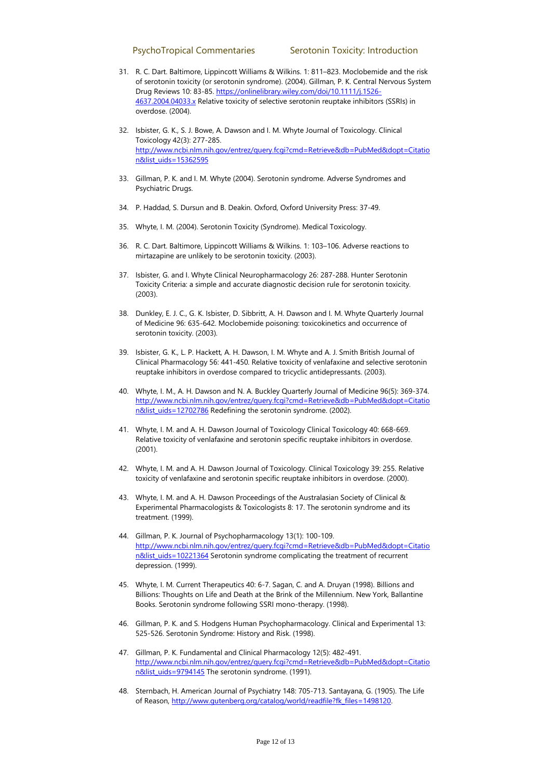- 31. R. C. Dart. Baltimore, Lippincott Williams & Wilkins. 1: 811–823. Moclobemide and the risk of serotonin toxicity (or serotonin syndrome). (2004). Gillman, P. K. Central Nervous System Drug Reviews 10: 83-85[. https://onlinelibrary.wiley.com/doi/10.1111/j.1526-](https://onlinelibrary.wiley.com/doi/10.1111/j.1526-4637.2004.04033.x) [4637.2004.04033.x](https://onlinelibrary.wiley.com/doi/10.1111/j.1526-4637.2004.04033.x) Relative toxicity of selective serotonin reuptake inhibitors (SSRIs) in overdose. (2004).
- 32. Isbister, G. K., S. J. Bowe, A. Dawson and I. M. Whyte Journal of Toxicology. Clinical Toxicology 42(3): 277-285. [http://www.ncbi.nlm.nih.gov/entrez/query.fcgi?cmd=Retrieve&db=PubMed&dopt=Citatio](http://www.ncbi.nlm.nih.gov/entrez/query.fcgi?cmd=Retrieve&db=PubMed&dopt=Citation&list_uids=15362595) [n&list\\_uids=15362595](http://www.ncbi.nlm.nih.gov/entrez/query.fcgi?cmd=Retrieve&db=PubMed&dopt=Citation&list_uids=15362595)
- 33. Gillman, P. K. and I. M. Whyte (2004). Serotonin syndrome. Adverse Syndromes and Psychiatric Drugs.
- 34. P. Haddad, S. Dursun and B. Deakin. Oxford, Oxford University Press: 37-49.
- 35. Whyte, I. M. (2004). Serotonin Toxicity (Syndrome). Medical Toxicology.
- 36. R. C. Dart. Baltimore, Lippincott Williams & Wilkins. 1: 103–106. Adverse reactions to mirtazapine are unlikely to be serotonin toxicity. (2003).
- 37. Isbister, G. and I. Whyte Clinical Neuropharmacology 26: 287-288. Hunter Serotonin Toxicity Criteria: a simple and accurate diagnostic decision rule for serotonin toxicity. (2003).
- 38. Dunkley, E. J. C., G. K. Isbister, D. Sibbritt, A. H. Dawson and I. M. Whyte Quarterly Journal of Medicine 96: 635-642. Moclobemide poisoning: toxicokinetics and occurrence of serotonin toxicity. (2003).
- 39. Isbister, G. K., L. P. Hackett, A. H. Dawson, I. M. Whyte and A. J. Smith British Journal of Clinical Pharmacology 56: 441-450. Relative toxicity of venlafaxine and selective serotonin reuptake inhibitors in overdose compared to tricyclic antidepressants. (2003).
- 40. Whyte, I. M., A. H. Dawson and N. A. Buckley Quarterly Journal of Medicine 96(5): 369-374. [http://www.ncbi.nlm.nih.gov/entrez/query.fcgi?cmd=Retrieve&db=PubMed&dopt=Citatio](http://www.ncbi.nlm.nih.gov/) [n&list\\_uids=12702786](http://www.ncbi.nlm.nih.gov/) Redefining the serotonin syndrome. (2002).
- 41. Whyte, I. M. and A. H. Dawson Journal of Toxicology Clinical Toxicology 40: 668-669. Relative toxicity of venlafaxine and serotonin specific reuptake inhibitors in overdose. (2001).
- 42. Whyte, I. M. and A. H. Dawson Journal of Toxicology. Clinical Toxicology 39: 255. Relative toxicity of venlafaxine and serotonin specific reuptake inhibitors in overdose. (2000).
- 43. Whyte, I. M. and A. H. Dawson Proceedings of the Australasian Society of Clinical & Experimental Pharmacologists & Toxicologists 8: 17. The serotonin syndrome and its treatment. (1999).
- 44. Gillman, P. K. Journal of Psychopharmacology 13(1): 100-109. [http://www.ncbi.nlm.nih.gov/entrez/query.fcgi?cmd=Retrieve&db=PubMed&dopt=Citatio](http://www.ncbi.nlm.nih.gov/entrez/query.fcgi?cmd=Retrieve&db=PubMed&dopt=Citation&list_uids=10221364) [n&list\\_uids=10221364](http://www.ncbi.nlm.nih.gov/entrez/query.fcgi?cmd=Retrieve&db=PubMed&dopt=Citation&list_uids=10221364) Serotonin syndrome complicating the treatment of recurrent depression. (1999).
- 45. Whyte, I. M. Current Therapeutics 40: 6-7. Sagan, C. and A. Druyan (1998). Billions and Billions: Thoughts on Life and Death at the Brink of the Millennium. New York, Ballantine Books. Serotonin syndrome following SSRI mono-therapy. (1998).
- 46. Gillman, P. K. and S. Hodgens Human Psychopharmacology. Clinical and Experimental 13: 525-526. Serotonin Syndrome: History and Risk. (1998).
- 47. Gillman, P. K. Fundamental and Clinical Pharmacology 12(5): 482-491. [http://www.ncbi.nlm.nih.gov/entrez/query.fcgi?cmd=Retrieve&db=PubMed&dopt=Citatio](http://www.ncbi.nlm.nih.gov/entrez/query.fcgi?cmd=Retrieve&db=PubMed&dopt=Citation&list_uids=9794145) [n&list\\_uids=9794145](http://www.ncbi.nlm.nih.gov/entrez/query.fcgi?cmd=Retrieve&db=PubMed&dopt=Citation&list_uids=9794145) The serotonin syndrome. (1991).
- 48. Sternbach, H. American Journal of Psychiatry 148: 705-713. Santayana, G. (1905). The Life of Reason, [http://www.gutenberg.org/catalog/world/readfile?fk\\_files=1498120.](http://www.gutenberg.org/catalog/world/readfile?fk_files=1498120)